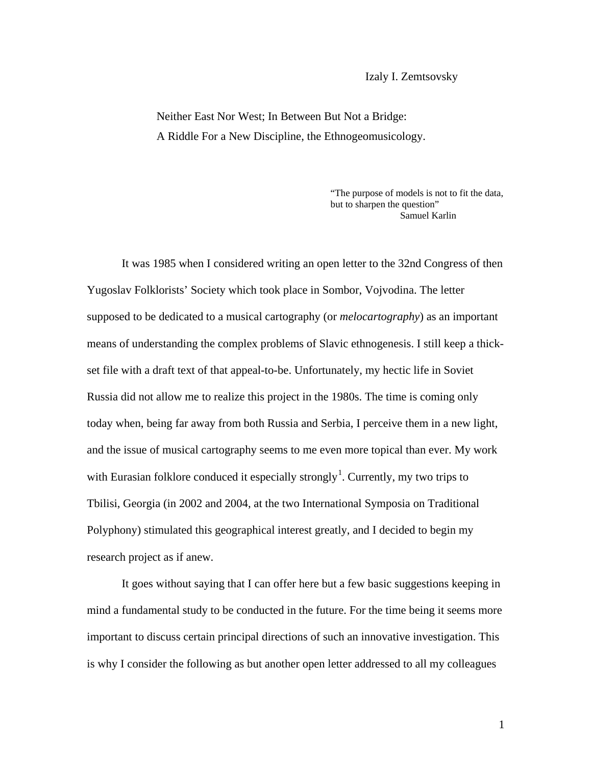Neither East Nor West; In Between But Not a Bridge: A Riddle For a New Discipline, the Ethnogeomusicology.

> "The purpose of models is not to fit the data, but to sharpen the question" Samuel Karlin

It was 1985 when I considered writing an open letter to the 32nd Congress of then Yugoslav Folklorists' Society which took place in Sombor, Vojvodina. The letter supposed to be dedicated to a musical cartography (or *melocartography*) as an important means of understanding the complex problems of Slavic ethnogenesis. I still keep a thickset file with a draft text of that appeal-to-be. Unfortunately, my hectic life in Soviet Russia did not allow me to realize this project in the 1980s. The time is coming only today when, being far away from both Russia and Serbia, I perceive them in a new light, and the issue of musical cartography seems to me even more topical than ever. My work with Eurasian folklore conduced it especially strongly<sup>[1](#page-2-0)</sup>. Currently, my two trips to Tbilisi, Georgia (in 2002 and 2004, at the two International Symposia on Traditional Polyphony) stimulated this geographical interest greatly, and I decided to begin my research project as if anew.

It goes without saying that I can offer here but a few basic suggestions keeping in mind a fundamental study to be conducted in the future. For the time being it seems more important to discuss certain principal directions of such an innovative investigation. This is why I consider the following as but another open letter addressed to all my colleagues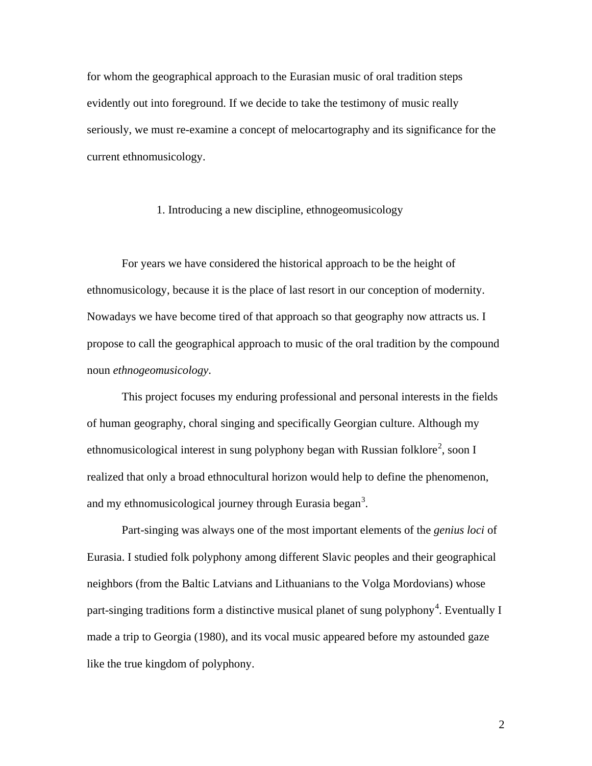for whom the geographical approach to the Eurasian music of oral tradition steps evidently out into foreground. If we decide to take the testimony of music really seriously, we must re-examine a concept of melocartography and its significance for the current ethnomusicology.

## 1. Introducing a new discipline, ethnogeomusicology

For years we have considered the historical approach to be the height of ethnomusicology, because it is the place of last resort in our conception of modernity. Nowadays we have become tired of that approach so that geography now attracts us. I propose to call the geographical approach to music of the oral tradition by the compound noun *ethnogeomusicology*.

This project focuses my enduring professional and personal interests in the fields of human geography, choral singing and specifically Georgian culture. Although my ethnomusicological interest in sung polyphony began with Russian folklore<sup>[2](#page-2-1)</sup>, soon I realized that only a broad ethnocultural horizon would help to define the phenomenon, and my ethnomusicological journey through Eurasia began<sup>[3](#page-2-2)</sup>.

Part-singing was always one of the most important elements of the *genius loci* of Eurasia. I studied folk polyphony among different Slavic peoples and their geographical neighbors (from the Baltic Latvians and Lithuanians to the Volga Mordovians) whose part-singing traditions form a distinctive musical planet of sung polyphony<sup>[4](#page-2-3)</sup>. Eventually I made a trip to Georgia (1980), and its vocal music appeared before my astounded gaze like the true kingdom of polyphony.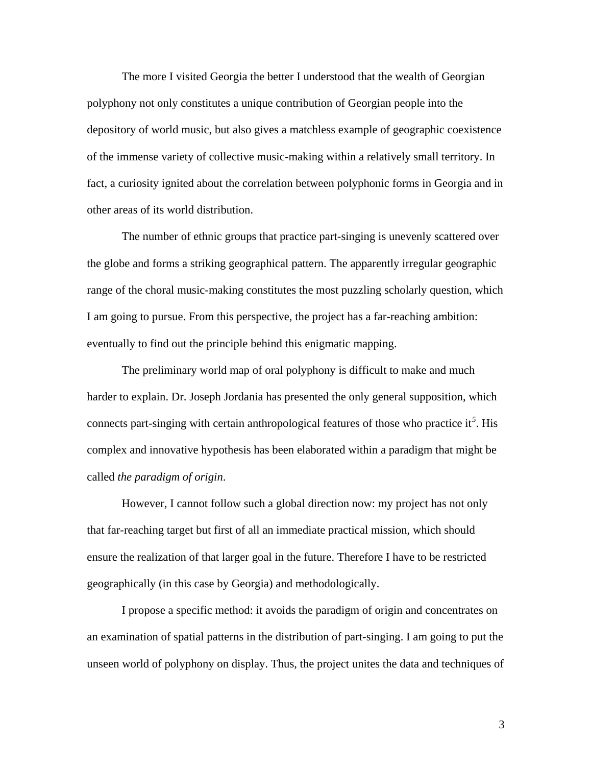The more I visited Georgia the better I understood that the wealth of Georgian polyphony not only constitutes a unique contribution of Georgian people into the depository of world music, but also gives a matchless example of geographic coexistence of the immense variety of collective music-making within a relatively small territory. In fact, a curiosity ignited about the correlation between polyphonic forms in Georgia and in other areas of its world distribution.

The number of ethnic groups that practice part-singing is unevenly scattered over the globe and forms a striking geographical pattern. The apparently irregular geographic range of the choral music-making constitutes the most puzzling scholarly question, which I am going to pursue. From this perspective, the project has a far-reaching ambition: eventually to find out the principle behind this enigmatic mapping.

<span id="page-2-0"></span>The preliminary world map of oral polyphony is difficult to make and much harder to explain. Dr. Joseph Jordania has presented the only general supposition, which connects part-singing with certain anthropological features of those who practice it*[5](#page-2-4)* . His complex and innovative hypothesis has been elaborated within a paradigm that might be called *the paradigm of origin*.

<span id="page-2-2"></span><span id="page-2-1"></span>However, I cannot follow such a global direction now: my project has not only that far-reaching target but first of all an immediate practical mission, which should ensure the realization of that larger goal in the future. Therefore I have to be restricted geographically (in this case by Georgia) and methodologically.

<span id="page-2-4"></span><span id="page-2-3"></span>I propose a specific method: it avoids the paradigm of origin and concentrates on an examination of spatial patterns in the distribution of part-singing. I am going to put the unseen world of polyphony on display. Thus, the project unites the data and techniques of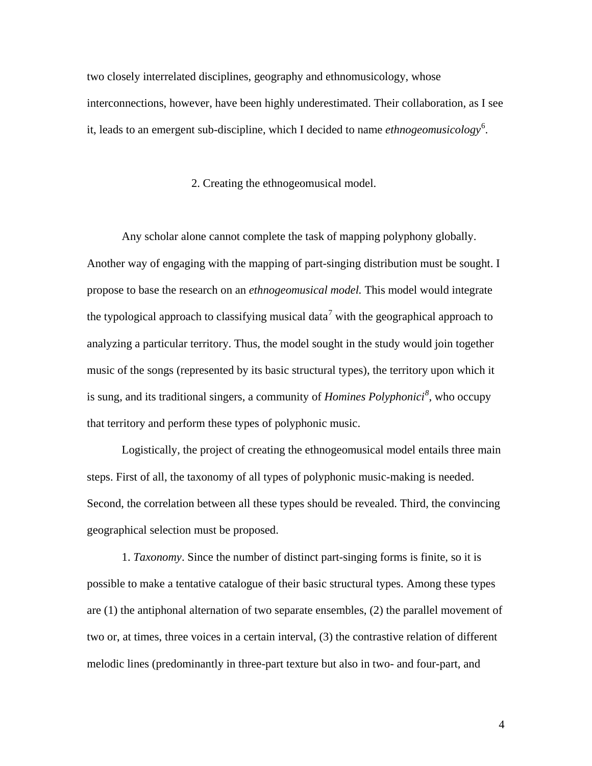<span id="page-3-0"></span>two closely interrelated disciplines, geography and ethnomusicology, whose interconnections, however, have been highly underestimated. Their collaboration, as I see it, leads to an emergent sub-discipline, which I decided to name *ethnogeomusicology*<sup>[6](#page-3-0)</sup>.

## 2. Creating the ethnogeomusical model.

Any scholar alone cannot complete the task of mapping polyphony globally. Another way of engaging with the mapping of part-singing distribution must be sought. I propose to base the research on an *ethnogeomusical model.* This model would integrate the typological approach to classifying musical data<sup>[7](#page-3-1)</sup> with the geographical approach to analyzing a particular territory. Thus, the model sought in the study would join together music of the songs (represented by its basic structural types), the territory upon which it is sung, and its traditional singers, a community of *Homines Polyphonici[8](#page-3-2)* , who occupy that territory and perform these types of polyphonic music.

<span id="page-3-2"></span><span id="page-3-1"></span>Logistically, the project of creating the ethnogeomusical model entails three main steps. First of all, the taxonomy of all types of polyphonic music-making is needed. Second, the correlation between all these types should be revealed. Third, the convincing geographical selection must be proposed.

<span id="page-3-5"></span><span id="page-3-4"></span><span id="page-3-3"></span>1. *Taxonomy*. Since the number of distinct part-singing forms is finite, so it is possible to make a tentative catalogue of their basic structural types. Among these types are (1) the antiphonal alternation of two separate ensembles, (2) the parallel movement of two or, at times, three voices in a certain interval, (3) the contrastive relation of different melodic lines (predominantly in three-part texture but also in two- and four-part, and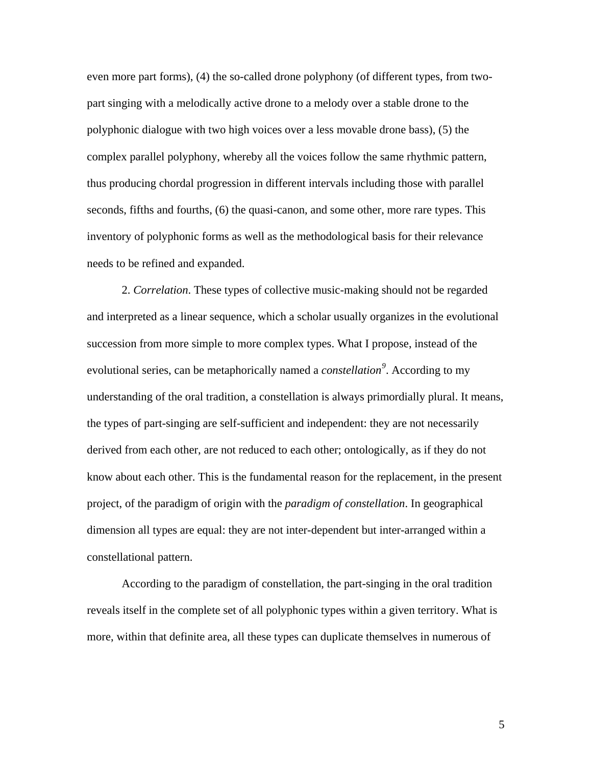even more part forms), (4) the so-called drone polyphony (of different types, from twopart singing with a melodically active drone to a melody over a stable drone to the polyphonic dialogue with two high voices over a less movable drone bass), (5) the complex parallel polyphony, whereby all the voices follow the same rhythmic pattern, thus producing chordal progression in different intervals including those with parallel seconds, fifths and fourths, (6) the quasi-canon, and some other, more rare types. This inventory of polyphonic forms as well as the methodological basis for their relevance needs to be refined and expanded.

2. *Correlation*. These types of collective music-making should not be regarded and interpreted as a linear sequence, which a scholar usually organizes in the evolutional succession from more simple to more complex types. What I propose, instead of the evolutional series, can be metaphorically named a *constellation[9](#page-3-3)* . According to my understanding of the oral tradition, a constellation is always primordially plural. It means, the types of part-singing are self-sufficient and independent: they are not necessarily derived from each other, are not reduced to each other; ontologically, as if they do not know about each other. This is the fundamental reason for the replacement, in the present project, of the paradigm of origin with the *paradigm of constellation*. In geographical dimension all types are equal: they are not inter-dependent but inter-arranged within a constellational pattern.

According to the paradigm of constellation, the part-singing in the oral tradition reveals itself in the complete set of all polyphonic types within a given territory. What is more, within that definite area, all these types can duplicate themselves in numerous of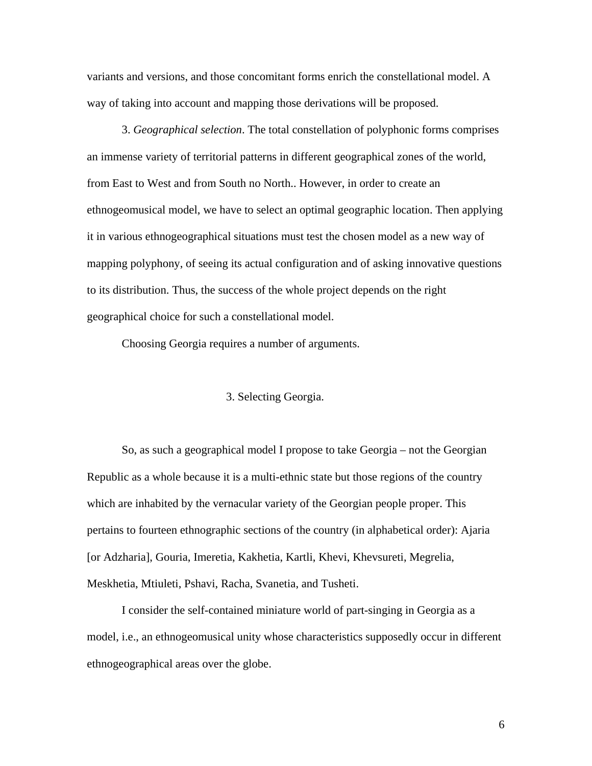variants and versions, and those concomitant forms enrich the constellational model. A way of taking into account and mapping those derivations will be proposed.

3. *Geographical selection*. The total constellation of polyphonic forms comprises an immense variety of territorial patterns in different geographical zones of the world, from East to West and from South no North.. However, in order to create an ethnogeomusical model, we have to select an optimal geographic location. Then applying it in various ethnogeographical situations must test the chosen model as a new way of mapping polyphony, of seeing its actual configuration and of asking innovative questions to its distribution. Thus, the success of the whole project depends on the right geographical choice for such a constellational model.

Choosing Georgia requires a number of arguments.

## 3. Selecting Georgia.

So, as such a geographical model I propose to take Georgia – not the Georgian Republic as a whole because it is a multi-ethnic state but those regions of the country which are inhabited by the vernacular variety of the Georgian people proper. This pertains to fourteen ethnographic sections of the country (in alphabetical order): Ajaria [or Adzharia], Gouria, Imeretia, Kakhetia, Kartli, Khevi, Khevsureti, Megrelia, Meskhetia, Mtiuleti, Pshavi, Racha, Svanetia, and Tusheti.

I consider the self-contained miniature world of part-singing in Georgia as a model, i.e., an ethnogeomusical unity whose characteristics supposedly occur in different ethnogeographical areas over the globe.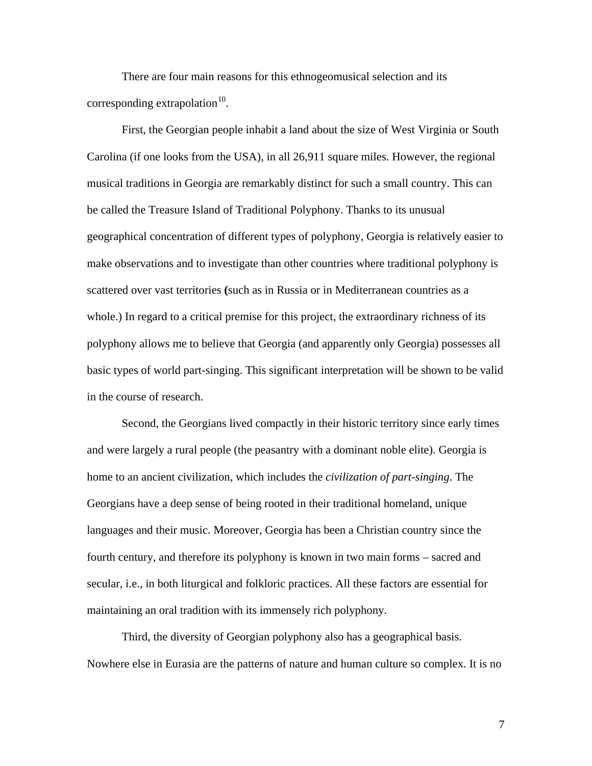There are four main reasons for this ethnogeomusical selection and its corresponding extrapolation $10$ .

First, the Georgian people inhabit a land about the size of West Virginia or South Carolina (if one looks from the USA), in all 26,911 square miles. However, the regional musical traditions in Georgia are remarkably distinct for such a small country. This can be called the Treasure Island of Traditional Polyphony. Thanks to its unusual geographical concentration of different types of polyphony, Georgia is relatively easier to make observations and to investigate than other countries where traditional polyphony is scattered over vast territories **(**such as in Russia or in Mediterranean countries as a whole.) In regard to a critical premise for this project, the extraordinary richness of its polyphony allows me to believe that Georgia (and apparently only Georgia) possesses all basic types of world part-singing. This significant interpretation will be shown to be valid in the course of research.

Second, the Georgians lived compactly in their historic territory since early times and were largely a rural people (the peasantry with a dominant noble elite). Georgia is home to an ancient civilization, which includes the *civilization of part-singing*. The Georgians have a deep sense of being rooted in their traditional homeland, unique languages and their music. Moreover, Georgia has been a Christian country since the fourth century, and therefore its polyphony is known in two main forms – sacred and secular, i.e., in both liturgical and folkloric practices. All these factors are essential for maintaining an oral tradition with its immensely rich polyphony.

Third, the diversity of Georgian polyphony also has a geographical basis. Nowhere else in Eurasia are the patterns of nature and human culture so complex. It is no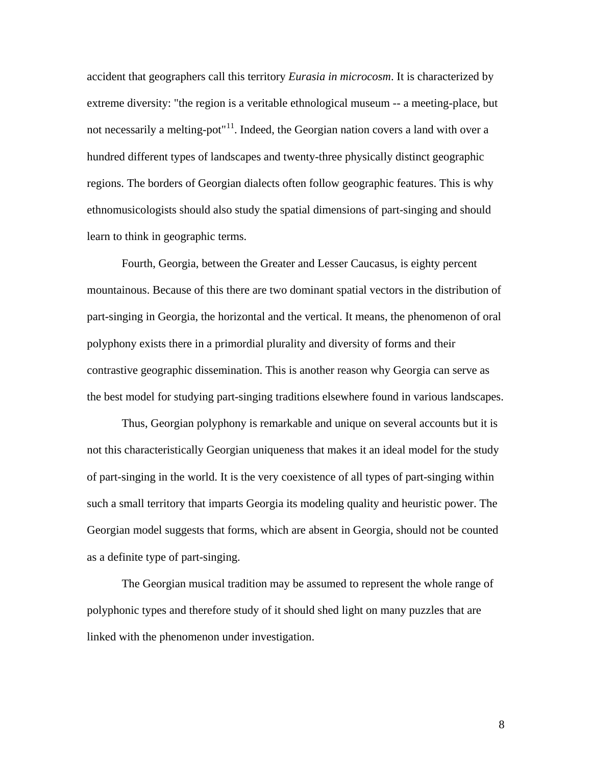accident that geographers call this territory *Eurasia in microcosm*. It is characterized by extreme diversity: "the region is a veritable ethnological museum -- a meeting-place, but not necessarily a melting-pot<sup> $n11$  $n11$ </sup>. Indeed, the Georgian nation covers a land with over a hundred different types of landscapes and twenty-three physically distinct geographic regions. The borders of Georgian dialects often follow geographic features. This is why ethnomusicologists should also study the spatial dimensions of part-singing and should learn to think in geographic terms.

Fourth, Georgia, between the Greater and Lesser Caucasus, is eighty percent mountainous. Because of this there are two dominant spatial vectors in the distribution of part-singing in Georgia, the horizontal and the vertical. It means, the phenomenon of oral polyphony exists there in a primordial plurality and diversity of forms and their contrastive geographic dissemination. This is another reason why Georgia can serve as the best model for studying part-singing traditions elsewhere found in various landscapes.

Thus, Georgian polyphony is remarkable and unique on several accounts but it is not this characteristically Georgian uniqueness that makes it an ideal model for the study of part-singing in the world. It is the very coexistence of all types of part-singing within such a small territory that imparts Georgia its modeling quality and heuristic power. The Georgian model suggests that forms, which are absent in Georgia, should not be counted as a definite type of part-singing.

The Georgian musical tradition may be assumed to represent the whole range of polyphonic types and therefore study of it should shed light on many puzzles that are linked with the phenomenon under investigation.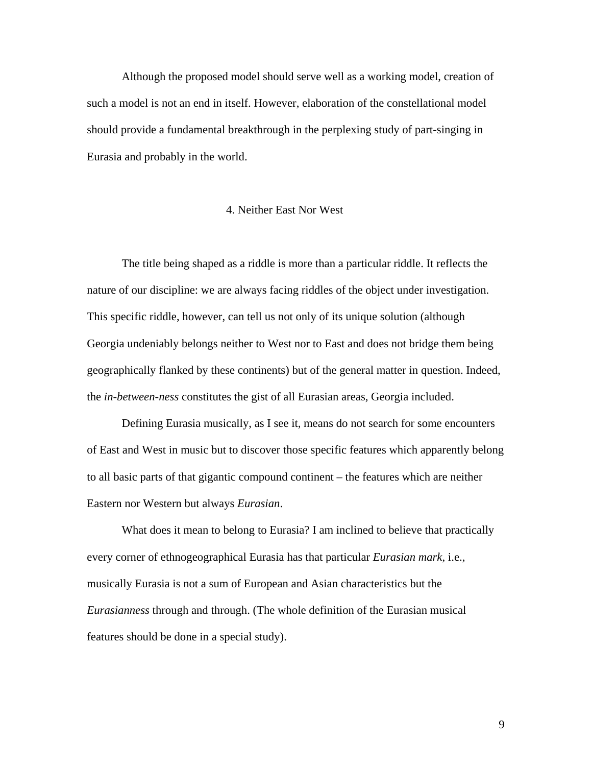Although the proposed model should serve well as a working model, creation of such a model is not an end in itself. However, elaboration of the constellational model should provide a fundamental breakthrough in the perplexing study of part-singing in Eurasia and probably in the world.

## 4. Neither East Nor West

The title being shaped as a riddle is more than a particular riddle. It reflects the nature of our discipline: we are always facing riddles of the object under investigation. This specific riddle, however, can tell us not only of its unique solution (although Georgia undeniably belongs neither to West nor to East and does not bridge them being geographically flanked by these continents) but of the general matter in question. Indeed, the *in-between-ness* constitutes the gist of all Eurasian areas, Georgia included.

Defining Eurasia musically, as I see it, means do not search for some encounters of East and West in music but to discover those specific features which apparently belong to all basic parts of that gigantic compound continent – the features which are neither Eastern nor Western but always *Eurasian*.

What does it mean to belong to Eurasia? I am inclined to believe that practically every corner of ethnogeographical Eurasia has that particular *Eurasian mark*, i.e., musically Eurasia is not a sum of European and Asian characteristics but the *Eurasianness* through and through. (The whole definition of the Eurasian musical features should be done in a special study).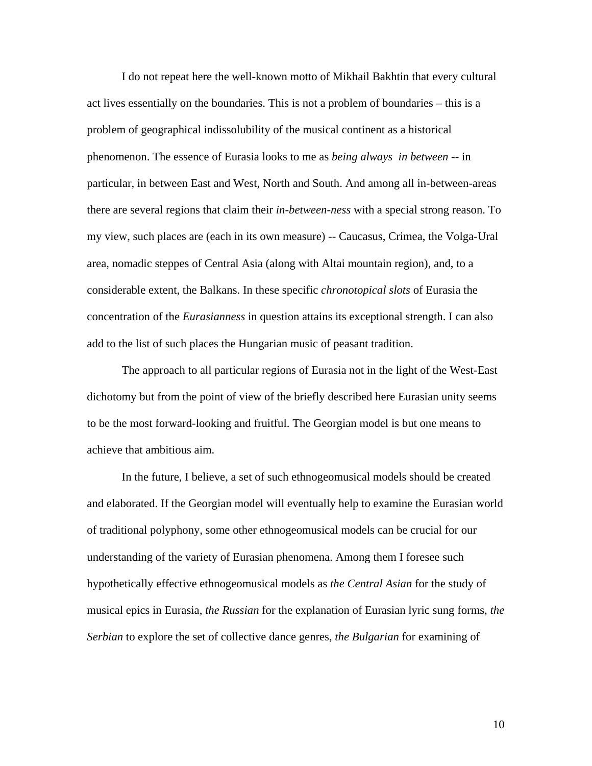I do not repeat here the well-known motto of Mikhail Bakhtin that every cultural act lives essentially on the boundaries. This is not a problem of boundaries – this is a problem of geographical indissolubility of the musical continent as a historical phenomenon. The essence of Eurasia looks to me as *being always in between* -- in particular, in between East and West, North and South. And among all in-between-areas there are several regions that claim their *in-between-ness* with a special strong reason. To my view, such places are (each in its own measure) -- Caucasus, Crimea, the Volga-Ural area, nomadic steppes of Central Asia (along with Altai mountain region), and, to a considerable extent, the Balkans. In these specific *chronotopical slots* of Eurasia the concentration of the *Eurasianness* in question attains its exceptional strength. I can also add to the list of such places the Hungarian music of peasant tradition.

The approach to all particular regions of Eurasia not in the light of the West-East dichotomy but from the point of view of the briefly described here Eurasian unity seems to be the most forward-looking and fruitful. The Georgian model is but one means to achieve that ambitious aim.

In the future, I believe, a set of such ethnogeomusical models should be created and elaborated. If the Georgian model will eventually help to examine the Eurasian world of traditional polyphony, some other ethnogeomusical models can be crucial for our understanding of the variety of Eurasian phenomena. Among them I foresee such hypothetically effective ethnogeomusical models as *the Central Asian* for the study of musical epics in Eurasia, *the Russian* for the explanation of Eurasian lyric sung forms, *the Serbian* to explore the set of collective dance genres, *the Bulgarian* for examining of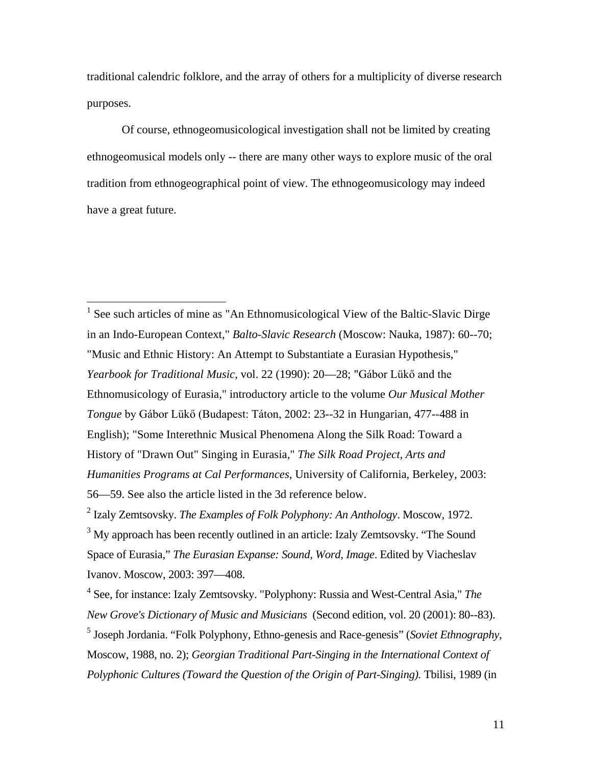traditional calendric folklore, and the array of others for a multiplicity of diverse research purposes.

Of course, ethnogeomusicological investigation shall not be limited by creating ethnogeomusical models only -- there are many other ways to explore music of the oral tradition from ethnogeographical point of view. The ethnogeomusicology may indeed have a great future.

<sup>1</sup> See such articles of mine as "An Ethnomusicological View of the Baltic-Slavic Dirge in an Indo-European Context," *Balto-Slavic Research* (Moscow: Nauka, 1987): 60--70; "Music and Ethnic History: An Attempt to Substantiate a Eurasian Hypothesis," *Yearbook for Traditional Music,* vol. 22 (1990): 20—28; "Gábor Lükő and the Ethnomusicology of Eurasia," introductory article to the volume *Our Musical Mother Tongue* by Gábor Lükő (Budapest: Táton, 2002: 23--32 in Hungarian, 477--488 in English); "Some Interethnic Musical Phenomena Along the Silk Road: Toward a History of "Drawn Out" Singing in Eurasia," *The Silk Road Project, Arts and Humanities Programs at Cal Performances*, University of California, Berkeley, 2003: 56—59. See also the article listed in the 3d reference below.

<sup>2</sup> Izaly Zemtsovsky. *The Examples of Folk Polyphony: An Anthology*. Moscow, 1972.

<sup>3</sup> My approach has been recently outlined in an article: Izaly Zemtsovsky. "The Sound Space of Eurasia," *The Eurasian Expanse: Sound, Word, Image*. Edited by Viacheslav Ivanov. Moscow, 2003: 397—408.

<sup>4</sup> See, for instance: Izaly Zemtsovsky. "Polyphony: Russia and West-Central Asia," *The New Grove's Dictionary of Music and Musicians* (Second edition, vol. 20 (2001): 80--83). <sup>5</sup> Joseph Jordania. "Folk Polyphony, Ethno-genesis and Race-genesis" (*Soviet Ethnography*, Moscow, 1988, no. 2); *Georgian Traditional Part-Singing in the International Context of Polyphonic Cultures (Toward the Question of the Origin of Part-Singing).* Tbilisi, 1989 (in